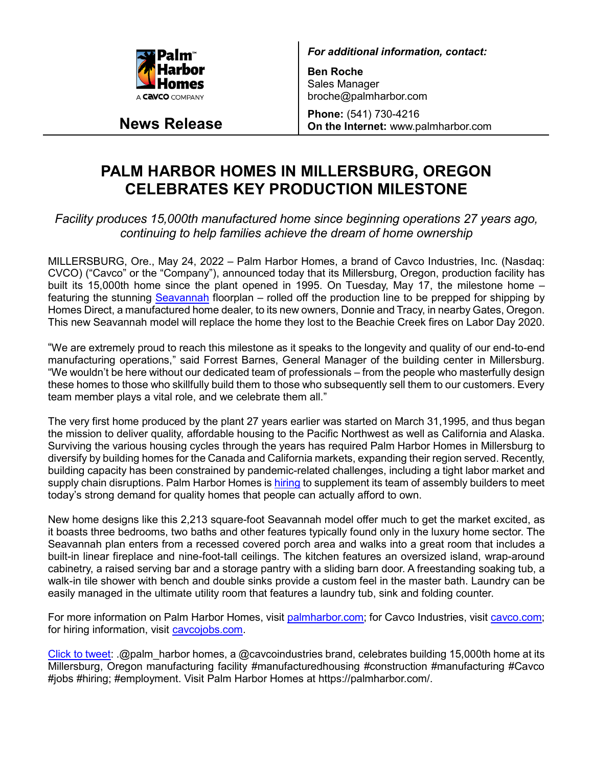

**News Release**

*For additional information, contact:*

**Ben Roche** Sales Manager broche@palmharbor.com

**Phone:** (541) 730-4216 **On the Internet:** www.palmharbor.com

## **PALM HARBOR HOMES IN MILLERSBURG, OREGON CELEBRATES KEY PRODUCTION MILESTONE**

*Facility produces 15,000th manufactured home since beginning operations 27 years ago, continuing to help families achieve the dream of home ownership*

MILLERSBURG, Ore., May 24, 2022 – Palm Harbor Homes, a brand of Cavco Industries, Inc. (Nasdaq: CVCO) ("Cavco" or the "Company"), announced today that its Millersburg, Oregon, production facility has built its 15,000th home since the plant opened in 1995. On Tuesday, May 17, the milestone home – featuring the stunning [Seavannah](https://www.thehomesdirect.com/homes/palm-harbor-homes/seavannah) floorplan – rolled off the production line to be prepped for shipping by Homes Direct, a manufactured home dealer, to its new owners, Donnie and Tracy, in nearby Gates, Oregon. This new Seavannah model will replace the home they lost to the Beachie Creek fires on Labor Day 2020.

"We are extremely proud to reach this milestone as it speaks to the longevity and quality of our end-to-end manufacturing operations," said Forrest Barnes, General Manager of the building center in Millersburg. "We wouldn't be here without our dedicated team of professionals – from the people who masterfully design these homes to those who skillfully build them to those who subsequently sell them to our customers. Every team member plays a vital role, and we celebrate them all."

The very first home produced by the plant 27 years earlier was started on March 31,1995, and thus began the mission to deliver quality, affordable housing to the Pacific Northwest as well as California and Alaska. Surviving the various housing cycles through the years has required Palm Harbor Homes in Millersburg to diversify by building homes for the Canada and California markets, expanding their region served. Recently, building capacity has been constrained by pandemic-related challenges, including a tight labor market and supply chain disruptions. Palm Harbor Homes is [hiring](http://www.cavcojobs.com/) to supplement its team of assembly builders to meet today's strong demand for quality homes that people can actually afford to own.

New home designs like this 2,213 square-foot Seavannah model offer much to get the market excited, as it boasts three bedrooms, two baths and other features typically found only in the luxury home sector. The Seavannah plan enters from a recessed covered porch area and walks into a great room that includes a built-in linear fireplace and nine-foot-tall ceilings. The kitchen features an oversized island, wrap-around cabinetry, a raised serving bar and a storage pantry with a sliding barn door. A freestanding soaking tub, a walk-in tile shower with bench and double sinks provide a custom feel in the master bath. Laundry can be easily managed in the ultimate utility room that features a laundry tub, sink and folding counter.

For more information on Palm Harbor Homes, visit [palmharbor.com;](https://palmharbor.com/) for Cavco Industries, visit [cavco.com;](https://www.cavco.com/) for hiring information, visit [cavcojobs.com.](http://www.cavcojobs.com/)

[Click to tweet:](https://ctt.ac/fW4Qs) .@palm\_harbor homes, a @cavcoindustries brand, celebrates building 15,000th home at its Millersburg, Oregon manufacturing facility #manufacturedhousing #construction #manufacturing #Cavco #jobs #hiring; #employment. Visit Palm Harbor Homes at https://palmharbor.com/.